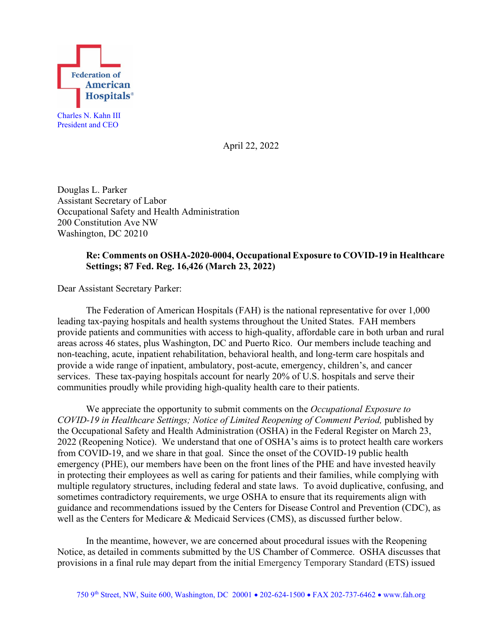

April 22, 2022

Douglas L. Parker Assistant Secretary of Labor Occupational Safety and Health Administration 200 Constitution Ave NW Washington, DC 20210

# **Re: Comments on OSHA-2020-0004, Occupational Exposure to COVID-19 in Healthcare Settings; 87 Fed. Reg. 16,426 (March 23, 2022)**

Dear Assistant Secretary Parker:

The Federation of American Hospitals (FAH) is the national representative for over 1,000 leading tax-paying hospitals and health systems throughout the United States. FAH members provide patients and communities with access to high-quality, affordable care in both urban and rural areas across 46 states, plus Washington, DC and Puerto Rico. Our members include teaching and non-teaching, acute, inpatient rehabilitation, behavioral health, and long-term care hospitals and provide a wide range of inpatient, ambulatory, post-acute, emergency, children's, and cancer services. These tax-paying hospitals account for nearly 20% of U.S. hospitals and serve their communities proudly while providing high-quality health care to their patients.

We appreciate the opportunity to submit comments on the *Occupational Exposure to COVID-19 in Healthcare Settings; Notice of Limited Reopening of Comment Period,* published by the Occupational Safety and Health Administration (OSHA) in the Federal Register on March 23, 2022 (Reopening Notice). We understand that one of OSHA's aims is to protect health care workers from COVID-19, and we share in that goal. Since the onset of the COVID-19 public health emergency (PHE), our members have been on the front lines of the PHE and have invested heavily in protecting their employees as well as caring for patients and their families, while complying with multiple regulatory structures, including federal and state laws. To avoid duplicative, confusing, and sometimes contradictory requirements, we urge OSHA to ensure that its requirements align with guidance and recommendations issued by the Centers for Disease Control and Prevention (CDC), as well as the Centers for Medicare & Medicaid Services (CMS), as discussed further below.

In the meantime, however, we are concerned about procedural issues with the Reopening Notice, as detailed in comments submitted by the US Chamber of Commerce. OSHA discusses that provisions in a final rule may depart from the initial Emergency Temporary Standard (ETS) issued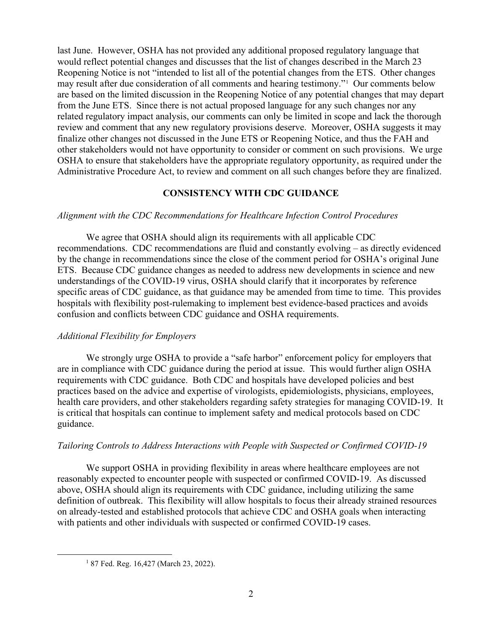last June. However, OSHA has not provided any additional proposed regulatory language that would reflect potential changes and discusses that the list of changes described in the March 23 Reopening Notice is not "intended to list all of the potential changes from the ETS. Other changes may result after due consideration of all comments and hearing testimony."[1](#page-1-0) Our comments below are based on the limited discussion in the Reopening Notice of any potential changes that may depart from the June ETS. Since there is not actual proposed language for any such changes nor any related regulatory impact analysis, our comments can only be limited in scope and lack the thorough review and comment that any new regulatory provisions deserve. Moreover, OSHA suggests it may finalize other changes not discussed in the June ETS or Reopening Notice, and thus the FAH and other stakeholders would not have opportunity to consider or comment on such provisions. We urge OSHA to ensure that stakeholders have the appropriate regulatory opportunity, as required under the Administrative Procedure Act, to review and comment on all such changes before they are finalized.

## **CONSISTENCY WITH CDC GUIDANCE**

## *Alignment with the CDC Recommendations for Healthcare Infection Control Procedures*

We agree that OSHA should align its requirements with all applicable CDC recommendations. CDC recommendations are fluid and constantly evolving – as directly evidenced by the change in recommendations since the close of the comment period for OSHA's original June ETS. Because CDC guidance changes as needed to address new developments in science and new understandings of the COVID-19 virus, OSHA should clarify that it incorporates by reference specific areas of CDC guidance, as that guidance may be amended from time to time. This provides hospitals with flexibility post-rulemaking to implement best evidence-based practices and avoids confusion and conflicts between CDC guidance and OSHA requirements.

### *Additional Flexibility for Employers*

We strongly urge OSHA to provide a "safe harbor" enforcement policy for employers that are in compliance with CDC guidance during the period at issue. This would further align OSHA requirements with CDC guidance. Both CDC and hospitals have developed policies and best practices based on the advice and expertise of virologists, epidemiologists, physicians, employees, health care providers, and other stakeholders regarding safety strategies for managing COVID-19. It is critical that hospitals can continue to implement safety and medical protocols based on CDC guidance.

### *Tailoring Controls to Address Interactions with People with Suspected or Confirmed COVID-19*

We support OSHA in providing flexibility in areas where healthcare employees are not reasonably expected to encounter people with suspected or confirmed COVID-19. As discussed above, OSHA should align its requirements with CDC guidance, including utilizing the same definition of outbreak. This flexibility will allow hospitals to focus their already strained resources on already-tested and established protocols that achieve CDC and OSHA goals when interacting with patients and other individuals with suspected or confirmed COVID-19 cases.

<span id="page-1-0"></span><sup>1</sup> 87 Fed. Reg. 16,427 (March 23, 2022).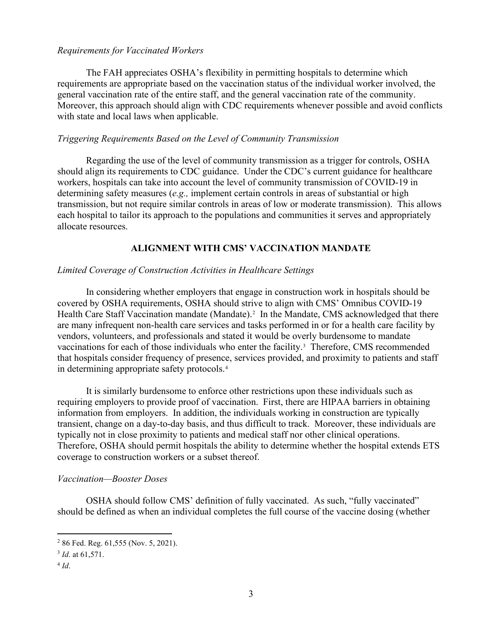### *Requirements for Vaccinated Workers*

The FAH appreciates OSHA's flexibility in permitting hospitals to determine which requirements are appropriate based on the vaccination status of the individual worker involved, the general vaccination rate of the entire staff, and the general vaccination rate of the community. Moreover, this approach should align with CDC requirements whenever possible and avoid conflicts with state and local laws when applicable.

### *Triggering Requirements Based on the Level of Community Transmission*

Regarding the use of the level of community transmission as a trigger for controls, OSHA should align its requirements to CDC guidance. Under the CDC's current guidance for healthcare workers, hospitals can take into account the level of community transmission of COVID-19 in determining safety measures (*e.g.,* implement certain controls in areas of substantial or high transmission, but not require similar controls in areas of low or moderate transmission). This allows each hospital to tailor its approach to the populations and communities it serves and appropriately allocate resources.

### **ALIGNMENT WITH CMS' VACCINATION MANDATE**

#### *Limited Coverage of Construction Activities in Healthcare Settings*

In considering whether employers that engage in construction work in hospitals should be covered by OSHA requirements, OSHA should strive to align with CMS' Omnibus COVID-19 Health Care Staff Vaccination mandate (Mandate). [2](#page-2-0) In the Mandate, CMS acknowledged that there are many infrequent non-health care services and tasks performed in or for a health care facility by vendors, volunteers, and professionals and stated it would be overly burdensome to mandate vaccinations for each of those individuals who enter the facility.<sup>[3](#page-2-1)</sup> Therefore, CMS recommended that hospitals consider frequency of presence, services provided, and proximity to patients and staff in determining appropriate safety protocols.[4](#page-2-2)

It is similarly burdensome to enforce other restrictions upon these individuals such as requiring employers to provide proof of vaccination. First, there are HIPAA barriers in obtaining information from employers. In addition, the individuals working in construction are typically transient, change on a day-to-day basis, and thus difficult to track. Moreover, these individuals are typically not in close proximity to patients and medical staff nor other clinical operations. Therefore, OSHA should permit hospitals the ability to determine whether the hospital extends ETS coverage to construction workers or a subset thereof.

#### *Vaccination—Booster Doses*

OSHA should follow CMS' definition of fully vaccinated. As such, "fully vaccinated" should be defined as when an individual completes the full course of the vaccine dosing (whether

<span id="page-2-0"></span><sup>2</sup> 86 Fed. Reg. 61,555 (Nov. 5, 2021).

<span id="page-2-1"></span><sup>3</sup> *Id*. at 61,571.

<span id="page-2-2"></span><sup>4</sup> *Id*.